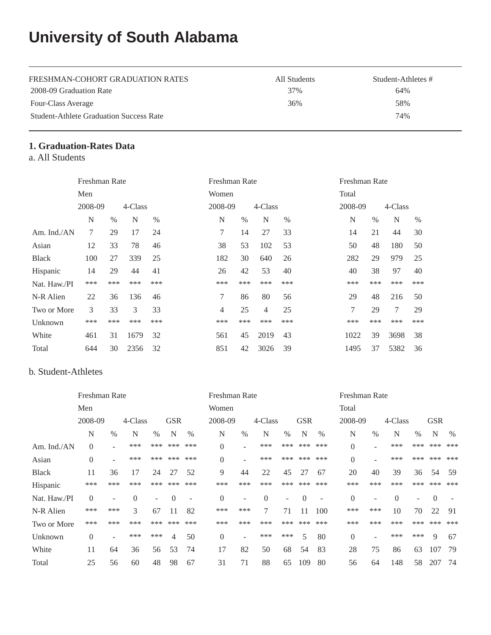# **University of South Alabama**

| FRESHMAN-COHORT GRADUATION RATES               | All Students | Student-Athletes # |
|------------------------------------------------|--------------|--------------------|
| 2008-09 Graduation Rate                        | 37%          | 64%                |
| Four-Class Average                             | 36%          | 58%                |
| <b>Student-Athlete Graduation Success Rate</b> |              | 74%                |

## **1. Graduation-Rates Data**

a. All Students

|              | Freshman Rate |      |         |      | Freshman Rate  |      |                |      |  |         | Freshman Rate |         |      |  |  |  |
|--------------|---------------|------|---------|------|----------------|------|----------------|------|--|---------|---------------|---------|------|--|--|--|
|              | Men           |      |         |      | Women          |      |                |      |  | Total   |               |         |      |  |  |  |
|              | 2008-09       |      | 4-Class |      | 2008-09        |      | 4-Class        |      |  | 2008-09 |               | 4-Class |      |  |  |  |
|              | N             | $\%$ | N       | $\%$ | N              | $\%$ | N              | $\%$ |  | N       | $\%$          | N       | $\%$ |  |  |  |
| Am. Ind./AN  | 7             | 29   | 17      | 24   | 7              | 14   | 27             | 33   |  | 14      | 21            | 44      | 30   |  |  |  |
| Asian        | 12            | 33   | 78      | 46   | 38             | 53   | 102            | 53   |  | 50      | 48            | 180     | 50   |  |  |  |
| <b>Black</b> | 100           | 27   | 339     | 25   | 182            | 30   | 640            | 26   |  | 282     | 29            | 979     | 25   |  |  |  |
| Hispanic     | 14            | 29   | 44      | 41   | 26             | 42   | 53             | 40   |  | 40      | 38            | 97      | 40   |  |  |  |
| Nat. Haw./PI | ***           | ***  | ***     | ***  | ***            | ***  | ***            | ***  |  | ***     | ***           | ***     | ***  |  |  |  |
| N-R Alien    | 22            | 36   | 136     | 46   | 7              | 86   | 80             | 56   |  | 29      | 48            | 216     | 50   |  |  |  |
| Two or More  | 3             | 33   | 3       | 33   | $\overline{4}$ | 25   | $\overline{4}$ | 25   |  | 7       | 29            | $\tau$  | 29   |  |  |  |
| Unknown      | ***           | ***  | ***     | ***  | ***            | ***  | ***            | ***  |  | ***     | ***           | ***     | ***  |  |  |  |
| White        | 461           | 31   | 1679    | 32   | 561            | 45   | 2019           | 43   |  | 1022    | 39            | 3698    | 38   |  |  |  |
| Total        | 644           | 30   | 2356    | 32   | 851            | 42   | 3026           | 39   |  | 1495    | 37            | 5382    | 36   |  |  |  |

#### b. Student-Athletes

|              | Freshman Rate  |                          |                |      |            | Freshman Rate            |                |                          |          |      | Freshman Rate |                          |                  |                          |          |                          |            |      |
|--------------|----------------|--------------------------|----------------|------|------------|--------------------------|----------------|--------------------------|----------|------|---------------|--------------------------|------------------|--------------------------|----------|--------------------------|------------|------|
|              | Men            |                          |                |      |            | Women                    |                |                          |          |      |               | Total                    |                  |                          |          |                          |            |      |
|              | 2008-09        |                          | 4-Class        |      | <b>GSR</b> |                          | 2008-09        |                          | 4-Class  |      | <b>GSR</b>    |                          | 2008-09          |                          | 4-Class  |                          | <b>GSR</b> |      |
|              | N              | $\%$                     | N              | $\%$ | N          | $\%$                     | N              | $\%$                     | N        | $\%$ | N             | $\%$                     | N                | $\%$                     | N        | $\%$                     | N          | $\%$ |
| Am. Ind./AN  | $\theta$       | ۰                        | ***            | ***  | ***        | ***                      | $\overline{0}$ |                          | ***      | ***  | ***           | ***                      | $\boldsymbol{0}$ |                          | ***      | ***                      | ***        | ***  |
| Asian        | $\overline{0}$ | $\overline{\phantom{a}}$ | ***            | ***  | ***        | ***                      | $\Omega$       |                          | ***      | ***  | ***           | ***                      | $\overline{0}$   | ۰                        | ***      | ***                      | ***        | ***  |
| <b>Black</b> | 11             | 36                       | 17             | 24   | 27         | 52                       | 9              | 44                       | 22       | 45   | 27            | 67                       | 20               | 40                       | 39       | 36                       | 54         | 59   |
| Hispanic     | ***            | ***                      | ***            | ***  | ***        | ***                      | ***            | ***                      | ***      | ***  | ***           | ***                      | ***              | ***                      | ***      | ***                      | ***        | ***  |
| Nat. Haw./PI | $\overline{0}$ | $\overline{\phantom{a}}$ | $\overline{0}$ | Ξ.   | $\Omega$   | $\overline{\phantom{a}}$ | $\Omega$       | $\overline{\phantom{a}}$ | $\Omega$ | ٠    | $\Omega$      | $\overline{\phantom{a}}$ | $\boldsymbol{0}$ | $\overline{\phantom{a}}$ | $\Omega$ | $\overline{\phantom{a}}$ | $\Omega$   |      |
| N-R Alien    | ***            | ***                      | 3              | 67   | 11         | 82                       | ***            | ***                      | 7        | 71   | 11            | 100                      | ***              | ***                      | 10       | 70                       | 22         | 91   |
| Two or More  | ***            | ***                      | ***            | ***  | ***        | ***                      | ***            | ***                      | ***      | ***  | ***           | ***                      | ***              | ***                      | ***      | ***                      | ***        | ***  |
| Unknown      | $\overline{0}$ | $\overline{\phantom{a}}$ | ***            | ***  | 4          | 50                       | $\overline{0}$ | $\overline{\phantom{0}}$ | ***      | ***  | 5             | 80                       | $\overline{0}$   | $\overline{\phantom{a}}$ | ***      | ***                      | 9          | 67   |
| White        | 11             | 64                       | 36             | 56   | 53         | 74                       | 17             | 82                       | 50       | 68   | 54            | 83                       | 28               | 75                       | 86       | 63                       | 107        | 79   |
| Total        | 25             | 56                       | 60             | 48   | 98         | 67                       | 31             | 71                       | 88       | 65   | 109           | 80                       | 56               | 64                       | 148      | 58                       | 207        | 74   |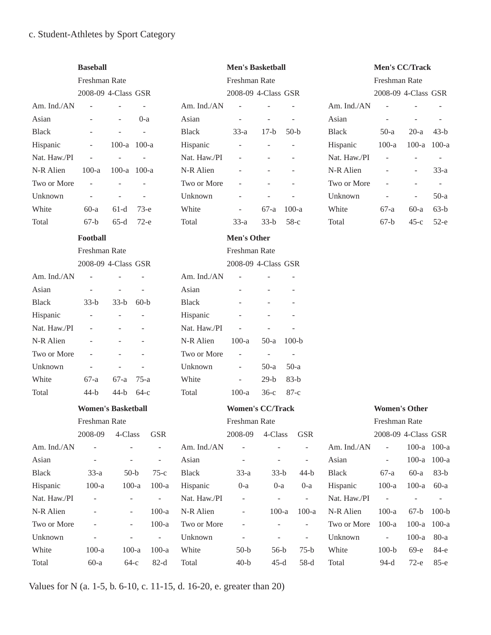# c. Student-Athletes by Sport Category

|              | <b>Baseball</b>           |                          |        |                          |              | <b>Men's Basketball</b>  |                          |                             |              | Men's CC/Track           |                          |                          |
|--------------|---------------------------|--------------------------|--------|--------------------------|--------------|--------------------------|--------------------------|-----------------------------|--------------|--------------------------|--------------------------|--------------------------|
|              | Freshman Rate             |                          |        |                          |              | Freshman Rate            |                          |                             |              | Freshman Rate            |                          |                          |
|              | 2008-09 4-Class GSR       |                          |        |                          |              | 2008-09 4-Class GSR      |                          |                             |              | 2008-09 4-Class GSR      |                          |                          |
| Am. Ind./AN  |                           |                          |        |                          | Am. Ind./AN  | $\overline{a}$           |                          |                             | Am. Ind./AN  | $\overline{a}$           |                          |                          |
| Asian        |                           | ÷.                       | $0-a$  |                          | Asian        | $\bar{a}$                | $\overline{\phantom{a}}$ |                             | Asian        | L,                       |                          |                          |
| <b>Black</b> |                           |                          |        |                          | <b>Black</b> | $33-a$                   | $17-b$                   | $50-b$                      | <b>Black</b> | $50-a$                   | $20-a$                   | $43-b$                   |
| Hispanic     |                           | 100-a 100-a              |        |                          | Hispanic     |                          |                          |                             | Hispanic     | $100-a$                  | $100-a$                  | $100-a$                  |
| Nat. Haw./PI |                           | L                        |        |                          | Nat. Haw./PI |                          |                          |                             | Nat. Haw./PI | L,                       | $\bar{a}$                | $\bar{a}$                |
| N-R Alien    | $100-a$                   | 100-a $100$ -a           |        |                          | N-R Alien    |                          |                          |                             | N-R Alien    |                          | $\overline{\phantom{a}}$ | $33-a$                   |
| Two or More  | $\overline{\phantom{a}}$  |                          |        |                          | Two or More  |                          |                          |                             | Two or More  | L,                       | $\overline{\phantom{a}}$ | $\overline{\phantom{a}}$ |
| Unknown      | $\overline{a}$            |                          |        |                          | Unknown      |                          |                          |                             | Unknown      | L,                       | $\overline{\phantom{a}}$ | $50-a$                   |
| White        | $60-a$                    | $61-d$                   | $73-e$ |                          | White        | $\overline{\phantom{a}}$ | $67-a$                   | $100-a$                     | White        | $67-a$                   | $60-a$                   | $63-b$                   |
| Total        | $67-b$                    | $65-d$                   | $72-e$ |                          | Total        | $33-a$                   | $33-b$                   | $58-c$                      | Total        | $67-b$                   | $45-c$                   | $52-e$                   |
|              | Football                  |                          |        |                          |              | <b>Men's Other</b>       |                          |                             |              |                          |                          |                          |
|              | <b>Freshman Rate</b>      |                          |        |                          |              | Freshman Rate            |                          |                             |              |                          |                          |                          |
|              | 2008-09 4-Class GSR       |                          |        |                          |              | 2008-09 4-Class GSR      |                          |                             |              |                          |                          |                          |
| Am. Ind./AN  |                           |                          |        |                          | Am. Ind./AN  | L,                       |                          |                             |              |                          |                          |                          |
| Asian        |                           |                          |        |                          | Asian        |                          |                          |                             |              |                          |                          |                          |
| <b>Black</b> | $33-b$                    | $33-b$                   | $60-b$ |                          | <b>Black</b> |                          |                          |                             |              |                          |                          |                          |
| Hispanic     |                           |                          |        |                          | Hispanic     |                          |                          |                             |              |                          |                          |                          |
| Nat. Haw./PI |                           |                          |        |                          | Nat. Haw./PI | $\bar{a}$                |                          |                             |              |                          |                          |                          |
| N-R Alien    |                           |                          |        |                          | N-R Alien    | $100-a$                  | $50-a$                   | $100-b$                     |              |                          |                          |                          |
| Two or More  |                           |                          |        |                          | Two or More  | ÷,                       | $\overline{\phantom{a}}$ | $\overline{\phantom{a}}$    |              |                          |                          |                          |
| Unknown      |                           |                          |        |                          | Unknown      | ÷,                       | $50-a$                   | $50-a$                      |              |                          |                          |                          |
| White        | 67-a                      | $67-a$                   | $75-a$ |                          | White        | $\overline{\phantom{a}}$ | $29-b$                   | $83-b$                      |              |                          |                          |                          |
| Total        | $44-b$                    | $44-b$                   | $64-c$ |                          | Total        | $100-a$                  | $36-c$                   | $87-c$                      |              |                          |                          |                          |
|              | <b>Women's Basketball</b> |                          |        |                          |              | <b>Women's CC/Track</b>  |                          |                             |              | <b>Women's Other</b>     |                          |                          |
|              | Freshman Rate             |                          |        |                          |              | Freshman Rate            |                          |                             |              | Freshman Rate            |                          |                          |
|              | 2008-09                   | 4-Class                  |        | <b>GSR</b>               |              | 2008-09                  | 4-Class                  | <b>GSR</b>                  |              | 2008-09 4-Class GSR      |                          |                          |
| Am. Ind./AN  | ÷,                        | $\overline{a}$           |        | $\overline{\phantom{a}}$ | Am. Ind./AN  | $\overline{\phantom{a}}$ | $\overline{a}$           | $\overline{\phantom{a}}$    | Am. Ind./AN  | $\bar{\phantom{a}}$      | 100-a 100-a              |                          |
| Asian        | $\overline{\phantom{0}}$  | $\overline{\phantom{a}}$ |        | $\overline{\phantom{a}}$ | Asian        | $\overline{\phantom{a}}$ | $\overline{\phantom{a}}$ | $\blacksquare$              | Asian        | $\blacksquare$           | 100-a 100-a              |                          |
| <b>Black</b> | $33-a$                    | $50-b$                   |        | $75-c$                   | <b>Black</b> | $33-a$                   | $33-b$                   | $44-b$                      | <b>Black</b> | $67-a$                   | $60-a$                   | $83-b$                   |
| Hispanic     | $100-a$                   | $100-a$                  |        | $100-a$                  | Hispanic     | $0-a$                    | $0-a$                    | $0-a$                       | Hispanic     | $100-a$                  | $100-a$                  | $60-a$                   |
| Nat. Haw./PI | $\overline{\phantom{0}}$  | $\overline{\phantom{0}}$ |        | $\overline{\phantom{a}}$ | Nat. Haw./PI | -                        | $\overline{\phantom{a}}$ | $\mathcal{L}_{\mathcal{A}}$ | Nat. Haw./PI | $\Box$                   | $\overline{\phantom{a}}$ |                          |
| N-R Alien    |                           | $\overline{\phantom{0}}$ |        | $100-a$                  | N-R Alien    |                          | $100-a$                  | $100-a$                     | N-R Alien    | $100-a$                  | $67-b$                   | $100-b$                  |
| Two or More  |                           | $\overline{a}$           |        | $100-a$                  | Two or More  |                          |                          | ÷,                          | Two or More  | $100-a$                  | $100-a$                  | $100-a$                  |
| Unknown      |                           | $\overline{\phantom{0}}$ |        | $\overline{\phantom{a}}$ | Unknown      | $\overline{\phantom{a}}$ | $\overline{\phantom{a}}$ | $\overline{\phantom{a}}$    | Unknown      | $\overline{\phantom{a}}$ | $100-a$                  | $80-a$                   |
| White        | $100-a$                   | $100-a$                  |        | $100-a$                  | White        | $50-b$                   | $56-b$                   | $75-b$                      | White        | $100-b$                  | $69-e$                   | 84-е                     |
| Total        | $60-a$                    | $64-c$                   |        | $82-d$                   | Total        | $40-b$                   | $45-d$                   | $58-d$                      | Total        | $94-d$                   | $72-e$                   | 85-е                     |

Values for N (a. 1-5, b. 6-10, c. 11-15, d. 16-20, e. greater than 20)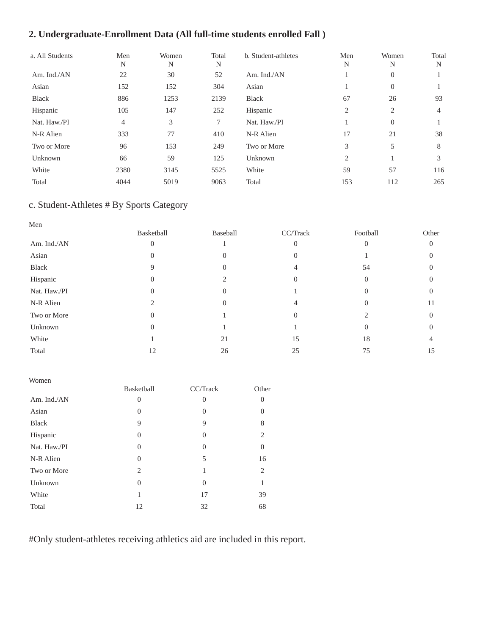# **2. Undergraduate-Enrollment Data (All full-time students enrolled Fall )**

| a. All Students | Men<br>N | Women<br>N | Total<br>N | b. Student-athletes | Men<br>N | Women<br>N     | Total<br>N |
|-----------------|----------|------------|------------|---------------------|----------|----------------|------------|
| Am. Ind./AN     | 22       | 30         | 52         | Am. Ind./AN         |          | $\theta$       |            |
| Asian           | 152      | 152        | 304        | Asian               |          | $\theta$       |            |
| <b>Black</b>    | 886      | 1253       | 2139       | Black               | 67       | 26             | 93         |
| Hispanic        | 105      | 147        | 252        | Hispanic            | 2        | 2              | 4          |
| Nat. Haw./PI    | 4        | 3          | 7          | Nat. Haw./PI        |          | $\overline{0}$ |            |
| N-R Alien       | 333      | 77         | 410        | N-R Alien           | 17       | 21             | 38         |
| Two or More     | 96       | 153        | 249        | Two or More         | 3        | 5              | 8          |
| Unknown         | 66       | 59         | 125        | Unknown             | 2        |                | 3          |
| White           | 2380     | 3145       | 5525       | White               | 59       | 57             | 116        |
| Total           | 4044     | 5019       | 9063       | Total               | 153      | 112            | 265        |

# c. Student-Athletes # By Sports Category

| Men          |                  |          |                |          |          |
|--------------|------------------|----------|----------------|----------|----------|
|              | Basketball       | Baseball | CC/Track       | Football | Other    |
| Am. Ind./AN  | $\boldsymbol{0}$ |          | $\overline{0}$ | $\Omega$ | $\Omega$ |
| Asian        | 0                |          | $\theta$       |          | $\Omega$ |
| Black        | 9                | 0        |                | 54       | $\Omega$ |
| Hispanic     | 0                |          | $\Omega$       | $\Omega$ |          |
| Nat. Haw./PI | 0                |          |                |          |          |
| N-R Alien    |                  |          |                | 0        | 11       |
| Two or More  | $\overline{0}$   |          | $\theta$       |          | $\Omega$ |
| Unknown      | $\overline{0}$   |          |                | 0        |          |
| White        |                  | 21       | 15             | 18       |          |
| Total        | 12               | 26       | 25             | 75       | 15       |

| Women        |            |          |                |
|--------------|------------|----------|----------------|
|              | Basketball | CC/Track | Other          |
| Am. Ind./AN  | 0          | $\theta$ | $\theta$       |
| Asian        | $\theta$   | 0        | $\Omega$       |
| <b>Black</b> | 9          | 9        | 8              |
| Hispanic     | $\Omega$   | $\Omega$ | $\overline{2}$ |
| Nat. Haw./PI | 0          | $\Omega$ | $\overline{0}$ |
| N-R Alien    | $\Omega$   | 5        | 16             |
| Two or More  | 2          | 1        | 2              |
| Unknown      | 0          | $\theta$ | 1              |
| White        | 1          | 17       | 39             |
| Total        | 12         | 32       | 68             |

#Only student-athletes receiving athletics aid are included in this report.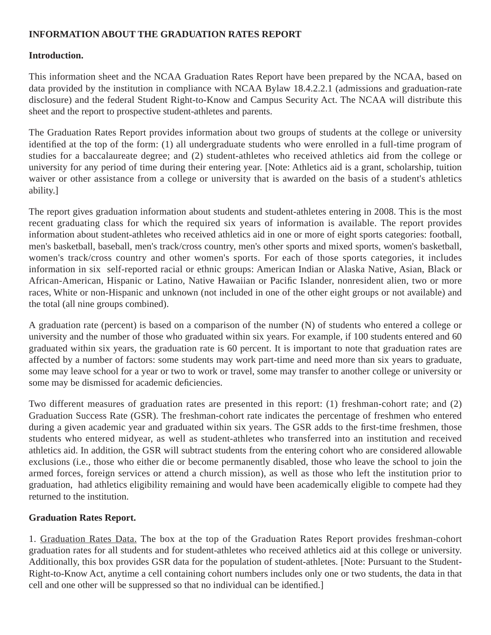### **INFORMATION ABOUT THE GRADUATION RATES REPORT**

#### **Introduction.**

This information sheet and the NCAA Graduation Rates Report have been prepared by the NCAA, based on data provided by the institution in compliance with NCAA Bylaw 18.4.2.2.1 (admissions and graduation-rate disclosure) and the federal Student Right-to-Know and Campus Security Act. The NCAA will distribute this sheet and the report to prospective student-athletes and parents.

The Graduation Rates Report provides information about two groups of students at the college or university identified at the top of the form: (1) all undergraduate students who were enrolled in a full-time program of studies for a baccalaureate degree; and (2) student-athletes who received athletics aid from the college or university for any period of time during their entering year. [Note: Athletics aid is a grant, scholarship, tuition waiver or other assistance from a college or university that is awarded on the basis of a student's athletics ability.]

The report gives graduation information about students and student-athletes entering in 2008. This is the most recent graduating class for which the required six years of information is available. The report provides information about student-athletes who received athletics aid in one or more of eight sports categories: football, men's basketball, baseball, men's track/cross country, men's other sports and mixed sports, women's basketball, women's track/cross country and other women's sports. For each of those sports categories, it includes information in six self-reported racial or ethnic groups: American Indian or Alaska Native, Asian, Black or African-American, Hispanic or Latino, Native Hawaiian or Pacific Islander, nonresident alien, two or more races, White or non-Hispanic and unknown (not included in one of the other eight groups or not available) and the total (all nine groups combined).

A graduation rate (percent) is based on a comparison of the number (N) of students who entered a college or university and the number of those who graduated within six years. For example, if 100 students entered and 60 graduated within six years, the graduation rate is 60 percent. It is important to note that graduation rates are affected by a number of factors: some students may work part-time and need more than six years to graduate, some may leave school for a year or two to work or travel, some may transfer to another college or university or some may be dismissed for academic deficiencies.

Two different measures of graduation rates are presented in this report: (1) freshman-cohort rate; and (2) Graduation Success Rate (GSR). The freshman-cohort rate indicates the percentage of freshmen who entered during a given academic year and graduated within six years. The GSR adds to the first-time freshmen, those students who entered midyear, as well as student-athletes who transferred into an institution and received athletics aid. In addition, the GSR will subtract students from the entering cohort who are considered allowable exclusions (i.e., those who either die or become permanently disabled, those who leave the school to join the armed forces, foreign services or attend a church mission), as well as those who left the institution prior to graduation, had athletics eligibility remaining and would have been academically eligible to compete had they returned to the institution.

#### **Graduation Rates Report.**

1. Graduation Rates Data. The box at the top of the Graduation Rates Report provides freshman-cohort graduation rates for all students and for student-athletes who received athletics aid at this college or university. Additionally, this box provides GSR data for the population of student-athletes. [Note: Pursuant to the Student-Right-to-Know Act, anytime a cell containing cohort numbers includes only one or two students, the data in that cell and one other will be suppressed so that no individual can be identified.]